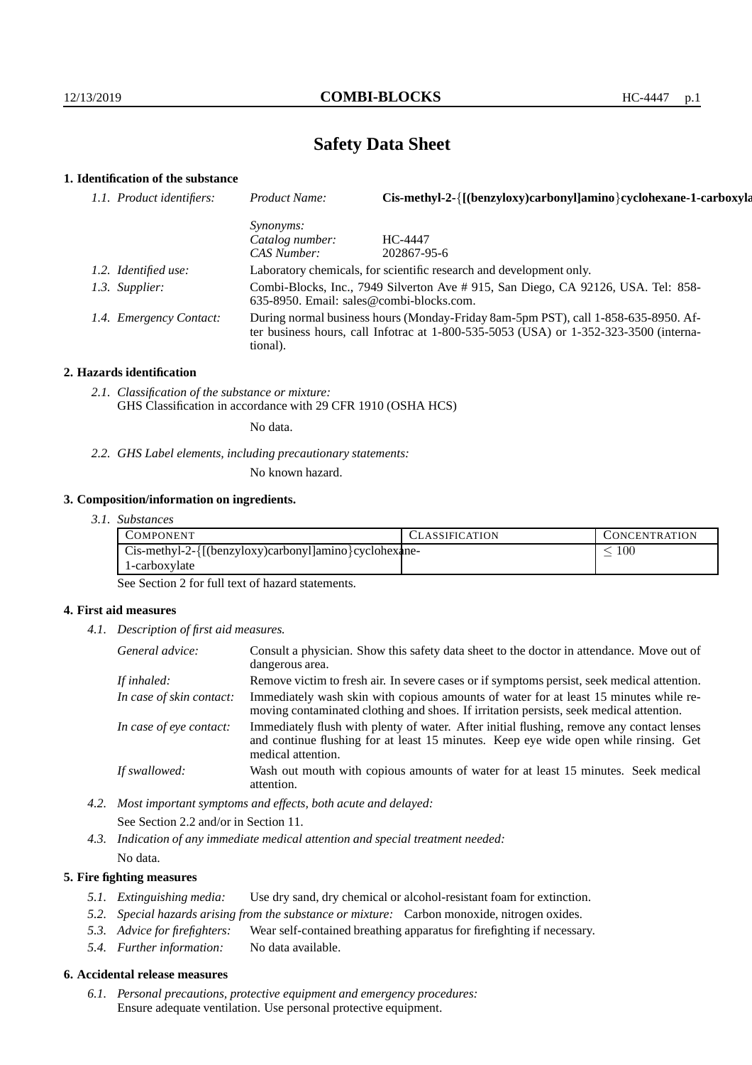# **Safety Data Sheet**

## **1. Identification of the substance**

| 1.1. Product identifiers: | Product Name:                                                                                                                                                                               | Cis-methyl-2-{[(benzyloxy)carbonyl]amino}cyclohexane-1-carboxyla |
|---------------------------|---------------------------------------------------------------------------------------------------------------------------------------------------------------------------------------------|------------------------------------------------------------------|
|                           | <i>Synonyms:</i>                                                                                                                                                                            |                                                                  |
|                           | Catalog number:                                                                                                                                                                             | HC-4447                                                          |
|                           | CAS Number:                                                                                                                                                                                 | 202867-95-6                                                      |
| 1.2. Identified use:      | Laboratory chemicals, for scientific research and development only.                                                                                                                         |                                                                  |
| 1.3. Supplier:            | Combi-Blocks, Inc., 7949 Silverton Ave # 915, San Diego, CA 92126, USA. Tel: 858-<br>635-8950. Email: sales@combi-blocks.com.                                                               |                                                                  |
| 1.4. Emergency Contact:   | During normal business hours (Monday-Friday 8am-5pm PST), call 1-858-635-8950. Af-<br>ter business hours, call Infotrac at $1-800-535-5053$ (USA) or $1-352-323-3500$ (interna-<br>tional). |                                                                  |

#### **2. Hazards identification**

*2.1. Classification of the substance or mixture:* GHS Classification in accordance with 29 CFR 1910 (OSHA HCS)

No data.

*2.2. GHS Label elements, including precautionary statements:*

No known hazard.

## **3. Composition/information on ingredients.**

*3.1. Substances*

| COMPONENT                                             | CLASSIFICATION | <b>CONCENTRATION</b> |
|-------------------------------------------------------|----------------|----------------------|
| Cis-methyl-2-{[(benzyloxy)carbonyl]amino}cyclohexane- |                | 100                  |
| 1-carboxylate                                         |                |                      |

See Section 2 for full text of hazard statements.

## **4. First aid measures**

*4.1. Description of first aid measures.*

| General advice:          | Consult a physician. Show this safety data sheet to the doctor in attendance. Move out of<br>dangerous area.                                                                                            |  |
|--------------------------|---------------------------------------------------------------------------------------------------------------------------------------------------------------------------------------------------------|--|
| If inhaled:              | Remove victim to fresh air. In severe cases or if symptoms persist, seek medical attention.                                                                                                             |  |
| In case of skin contact: | Immediately wash skin with copious amounts of water for at least 15 minutes while re-<br>moving contaminated clothing and shoes. If irritation persists, seek medical attention.                        |  |
| In case of eye contact:  | Immediately flush with plenty of water. After initial flushing, remove any contact lenses<br>and continue flushing for at least 15 minutes. Keep eye wide open while rinsing. Get<br>medical attention. |  |
| If swallowed:            | Wash out mouth with copious amounts of water for at least 15 minutes. Seek medical<br>attention.                                                                                                        |  |

*4.2. Most important symptoms and effects, both acute and delayed:* See Section 2.2 and/or in Section 11.

*4.3. Indication of any immediate medical attention and special treatment needed:* No data.

## **5. Fire fighting measures**

- *5.1. Extinguishing media:* Use dry sand, dry chemical or alcohol-resistant foam for extinction.
- *5.2. Special hazards arising from the substance or mixture:* Carbon monoxide, nitrogen oxides.
- *5.3. Advice for firefighters:* Wear self-contained breathing apparatus for firefighting if necessary.
- *5.4. Further information:* No data available.

## **6. Accidental release measures**

*6.1. Personal precautions, protective equipment and emergency procedures:* Ensure adequate ventilation. Use personal protective equipment.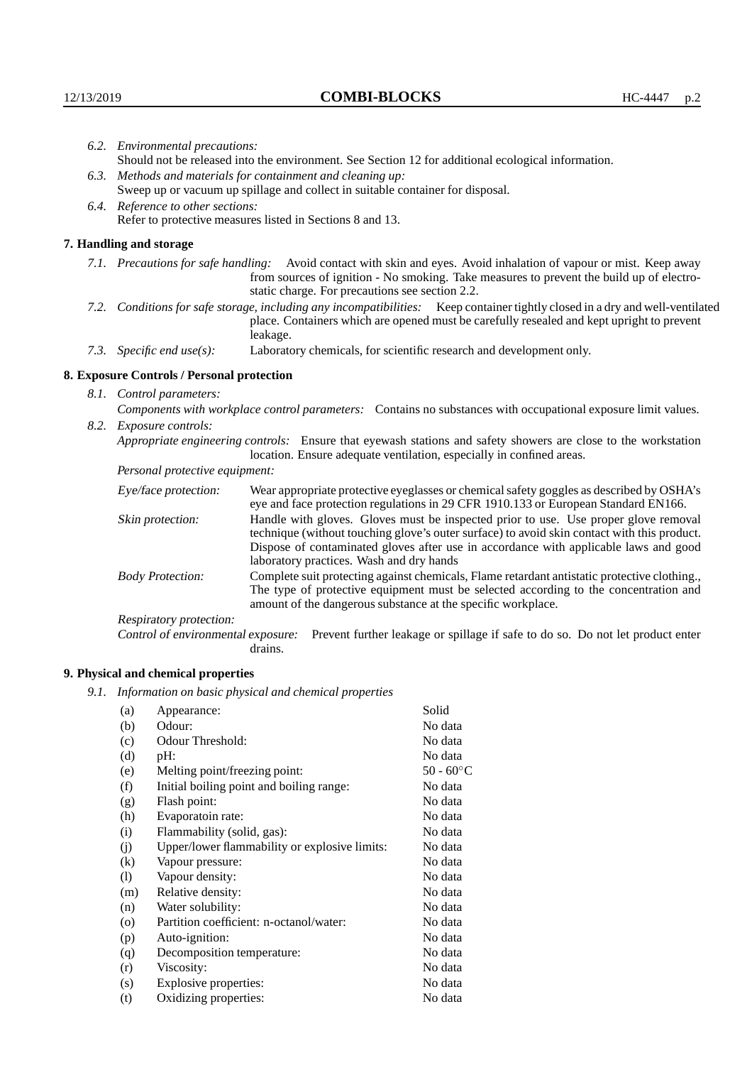| 6.2. Environmental precautions: |                                                                                                                                                                                                                                                                    |                                                                                                                                                                                                                                                                                                                        |  |  |
|---------------------------------|--------------------------------------------------------------------------------------------------------------------------------------------------------------------------------------------------------------------------------------------------------------------|------------------------------------------------------------------------------------------------------------------------------------------------------------------------------------------------------------------------------------------------------------------------------------------------------------------------|--|--|
|                                 | Should not be released into the environment. See Section 12 for additional ecological information.                                                                                                                                                                 |                                                                                                                                                                                                                                                                                                                        |  |  |
|                                 | 6.3. Methods and materials for containment and cleaning up:                                                                                                                                                                                                        |                                                                                                                                                                                                                                                                                                                        |  |  |
|                                 | Sweep up or vacuum up spillage and collect in suitable container for disposal.                                                                                                                                                                                     |                                                                                                                                                                                                                                                                                                                        |  |  |
|                                 |                                                                                                                                                                                                                                                                    |                                                                                                                                                                                                                                                                                                                        |  |  |
|                                 | 6.4. Reference to other sections:<br>Refer to protective measures listed in Sections 8 and 13.                                                                                                                                                                     |                                                                                                                                                                                                                                                                                                                        |  |  |
|                                 | 7. Handling and storage                                                                                                                                                                                                                                            |                                                                                                                                                                                                                                                                                                                        |  |  |
|                                 | 7.1. Precautions for safe handling: Avoid contact with skin and eyes. Avoid inhalation of vapour or mist. Keep away<br>from sources of ignition - No smoking. Take measures to prevent the build up of electro-<br>static charge. For precautions see section 2.2. |                                                                                                                                                                                                                                                                                                                        |  |  |
|                                 |                                                                                                                                                                                                                                                                    | 7.2. Conditions for safe storage, including any incompatibilities: Keep container tightly closed in a dry and well-ventilated<br>place. Containers which are opened must be carefully resealed and kept upright to prevent<br>leakage.                                                                                 |  |  |
|                                 | 7.3. Specific end use(s):                                                                                                                                                                                                                                          | Laboratory chemicals, for scientific research and development only.                                                                                                                                                                                                                                                    |  |  |
|                                 | 8. Exposure Controls / Personal protection                                                                                                                                                                                                                         |                                                                                                                                                                                                                                                                                                                        |  |  |
| 8.1. Control parameters:        |                                                                                                                                                                                                                                                                    |                                                                                                                                                                                                                                                                                                                        |  |  |
|                                 | Components with workplace control parameters: Contains no substances with occupational exposure limit values.                                                                                                                                                      |                                                                                                                                                                                                                                                                                                                        |  |  |
|                                 | 8.2. Exposure controls:                                                                                                                                                                                                                                            |                                                                                                                                                                                                                                                                                                                        |  |  |
|                                 |                                                                                                                                                                                                                                                                    | Appropriate engineering controls: Ensure that eyewash stations and safety showers are close to the workstation<br>location. Ensure adequate ventilation, especially in confined areas.                                                                                                                                 |  |  |
|                                 | Personal protective equipment:                                                                                                                                                                                                                                     |                                                                                                                                                                                                                                                                                                                        |  |  |
|                                 | Eye/face protection:                                                                                                                                                                                                                                               | Wear appropriate protective eyeglasses or chemical safety goggles as described by OSHA's<br>eye and face protection regulations in 29 CFR 1910.133 or European Standard EN166.                                                                                                                                         |  |  |
|                                 | Skin protection:                                                                                                                                                                                                                                                   | Handle with gloves. Gloves must be inspected prior to use. Use proper glove removal<br>technique (without touching glove's outer surface) to avoid skin contact with this product.<br>Dispose of contaminated gloves after use in accordance with applicable laws and good<br>laboratory practices. Wash and dry hands |  |  |
|                                 | <b>Body Protection:</b>                                                                                                                                                                                                                                            | Complete suit protecting against chemicals, Flame retardant antistatic protective clothing.,<br>The type of protective equipment must be selected according to the concentration and<br>amount of the dangerous substance at the specific workplace.                                                                   |  |  |
|                                 | Respiratory protection:                                                                                                                                                                                                                                            |                                                                                                                                                                                                                                                                                                                        |  |  |

Control of environmental exposure: Prevent further leakage or spillage if safe to do so. Do not let product enter drains.

# **9. Physical and chemical properties**

*9.1. Information on basic physical and chemical properties*

| (a)                        | Appearance:                                   | Solid               |
|----------------------------|-----------------------------------------------|---------------------|
| (b)                        | Odour:                                        | No data             |
|                            |                                               |                     |
| (c)                        | Odour Threshold:                              | No data             |
| (d)                        | pH:                                           | No data             |
| (e)                        | Melting point/freezing point:                 | 50 - $60^{\circ}$ C |
| (f)                        | Initial boiling point and boiling range:      | No data             |
| (g)                        | Flash point:                                  | No data             |
| (h)                        | Evaporatoin rate:                             | No data             |
| (i)                        | Flammability (solid, gas):                    | No data             |
| (j)                        | Upper/lower flammability or explosive limits: | No data             |
| (k)                        | Vapour pressure:                              | No data             |
| $\left( \mathrm{l}\right)$ | Vapour density:                               | No data             |
| (m)                        | Relative density:                             | No data             |
| (n)                        | Water solubility:                             | No data             |
| $\rm (o)$                  | Partition coefficient: n-octanol/water:       | No data             |
| (p)                        | Auto-ignition:                                | No data             |
| (q)                        | Decomposition temperature:                    | No data             |
| (r)                        | Viscosity:                                    | No data             |
| (s)                        | Explosive properties:                         | No data             |
| (t)                        | Oxidizing properties:                         | No data             |